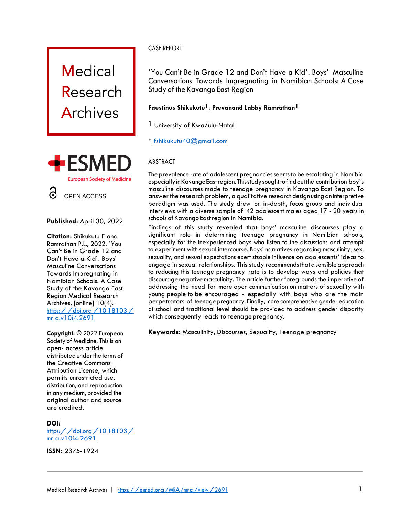



**Published:** April 30, 2022

**Citation:** Shikukutu F and Ramrathan P.L., 2022. `You Can't Be in Grade 12 and Don't Have a Kid`. Boys' Masculine Conversations Towards Impregnating in Namibian Schools: A Case Study of the Kavango East Region Medical Research Archives, [online] 10(4). [https://doi.org/10.18103/](https://doi.org/10.18103/mra.v10i4.2691) [mr](https://doi.org/10.18103/mra.v10i4.2691) [a.v10i4.26](https://doi.org/10.18103/mra.v10i4.2691)91

**Copyright:** © 2022 European Society of Medicine. This is an open- access article distributed under the terms of the Creative Commons Attribution License, which permits unrestricted use, distribution, and reproduction in any medium, provided the original author and source are credited.

## **DOI:**

[https://doi.org/10.18103/](https://doi.org/10.18103/mra.v10i4.2691) [mr](https://doi.org/10.18103/mra.v10i4.2691) [a.v10i4.2691](https://doi.org/10.18103/mra.v10i4.2691)

**ISSN:** 2375-1924

## CASE REPORT

`You Can't Be in Grade 12 and Don't Have a Kid`. Boys' Masculine Conversations Towards Impregnating in Namibian Schools: A Case Study of the Kavango East Region

# **Faustinus Shikukutu1, Prevanand Labby Ramrathan1**

- 1 University of KwaZulu-Natal
- \* [fshikukutu40@gmail.com](mailto:fshikukutu40@gmail.com)

# ABSTRACT

The prevalence rate of adolescent pregnancies seems to be escalating in Namibia especially in Kavango East region. This study sought to find out the contribution boy's masculine discourses made to teenage pregnancy in Kavango East Region. To answer the research problem, a qualitative researchdesign usingan interpretive paradigm was used. The study drew on in-depth, focus group and individual interviews with a diverse sample of 42 adolescent males aged 17 - 20 years in schools of Kavango Eastregion in Namibia.

Findings of this study revealed that boys' masculine discourses play a significant role in determining teenage pregnancy in Namibian schools, especially for the inexperienced boys who listen to the discussions and attempt to experiment with sexual intercourse. Boys' narratives regarding masculinity, sex, sexuality, and sexual expectations exert sizable influence on adolescents' ideas to engage in sexual relationships. This study recommends that a sensible approach to reducing this teenage pregnancy rate is to develop ways and policies that discourage negative masculinity. The article further foregrounds the imperative of addressing the need for more open communication on matters of sexuality with young people to be encouraged - especially with boys who are the main perpetrators of teenage pregnancy. Finally, more comprehensive gender education at school and traditional level should be provided to address gender disparity which consequently leads to teenage pregnancy.

**Keywords:** Masculinity, Discourses, Sexuality, Teenage pregnancy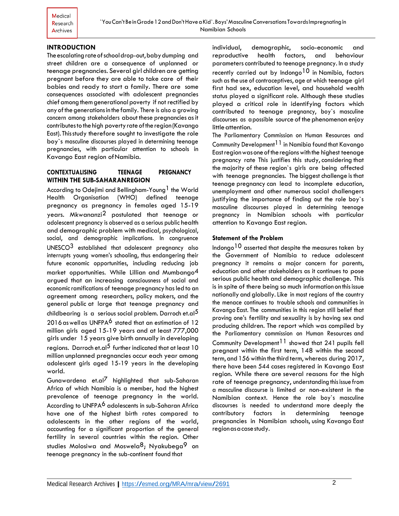## **INTRODUCTION**

The escalating rate of school drop-out, baby dumping and street children are a consequence of unplanned or teenage pregnancies. Several girl children are getting pregnant before they are able to take care of their babies and ready to start a family. There are some consequences associated with adolescent pregnancies chief among them generational poverty if not rectified by any of the generations in the family. There is also a growing concern among stakeholders about these pregnancies as it contributes to the high poverty rate of the region (Kavango East). Thisstudy therefore sought to investigate the role boy`s masculine discourses played in determining teenage pregnancies, with particular attention to schools in Kavango East region ofNamibia.

## **CONTEXTUALISING TEENAGE PREGNANCY WITHIN THE SUB-SAHARANREGION**

According to Odejimi and Bellingham-Young<sup>1</sup> the World Health Organisation (WHO) defined teenage pregnancy as pregnancy in females aged 15-19 years. Mkwananzi2 postulated that teenage or adolescent pregnancy is observed as a serious public health and demographic problem with medical, psychological, social, and demographic implications. In congruence UNESCO3 established that adolescent pregnancy also interrupts young women's schooling, thus endangering their future economic opportunities, including reducing job market opportunities. While Lillian and Mumbango4 argued that an increasing consciousness of social and economicramifications of teenage pregnancy has led to an agreement among researchers, policy makers, and the general public at large that teenage pregnancy and childbearing is a serious social problem. Darroch et.al<sup>5</sup> 2016 as well as UNFPA<sup>6</sup> stated that an estimation of 12 million girls aged 15-19 years and at least 777,000 girls under 15 years give birth annually in developing regions. Darroch et.al<sup>5</sup> further indicated that at least 10 million unplanned pregnancies occur each year among adolescent girls aged 15-19 years in the developing world.

Gunawardena et.al7 highlighted that sub-Saharan Africa of which Namibia is a member, had the highest prevalence of teenage pregnancy in the world. According to UNFPA<sup>6</sup> adolescents in sub-Saharan Africa have one of the highest birth rates compared to adolescents in the other regions of the world, accounting for a significant proportion of the general fertility in several countries within the region. Other studies Molosiwa and Moswela<sup>8</sup>; Nyakubega<sup>9</sup> on teenage pregnancy in the sub-continent found that

individual, demographic, socio-economic and reproductive health factors, and behaviour parameters contributed to teenage pregnancy. In a study recently carried out by Indongo<sup>10</sup> in Namibia, factors such as the use of contraceptives, age at which teenage girl first had sex, education level, and household wealth status played a significant role. Although these studies played a critical role in identifying factors which contributed to teenage pregnancy, boy`s masculine discourses as a possible source of the phenomenon enjoy little attention.

The Parliamentary Commission on Human Resources and Community Development  $11$  in Namibia found that Kavango Eastregionwasoneoftheregionswith the highest teenage pregnancy rate This justifies this study, considering that the majority of these region`s girls are being affected with teenage pregnancies. The biggest challenge is that teenage pregnancy can lead to incomplete education, unemployment and other numerous social challengers justifying the importance of finding out the role boy`s masculine discourses played in determining teenage pregnancy in Namibian schools with particular attention to Kavango East region.

## **Statement of the Problem**

Indongo<sup>10</sup> asserted that despite the measures taken by the Government of Namibia to reduce adolescent pregnancy it remains a major concern for parents, education and other stakeholders as it continues to pose serious public health and demographic challenge. This is in spite of there being so much information on thisissue nationally and globally.Like in most regions of the country the menace continues to trouble schools and communities in Kavango East. The communities in this region still belief that proving one's fertility and sexuality is by having sex and producing children. The report which was compiled by the Parliamentary commission on Human Resources and Community Development<sup>11</sup> showed that 241 pupils fell pregnant within the first term, 148 within the second term, and 156 within the third term, whereas during 2017, there have been 544 cases registered in Kavango East region. While there are several reasons for the high rate of teenage pregnancy, understanding thisissue from a masculine discourse is limited or non-existent in the Namibian context. Hence the role boy`s masculine discourses is needed to understand more deeply the contributory factors in determining teenage pregnancies in Namibian schools, using Kavango East regionas a case study.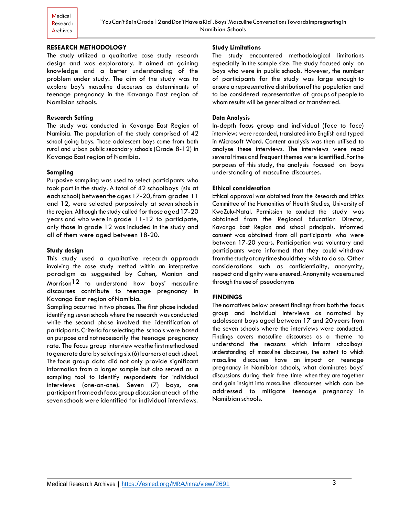Medical Research Archives

## **RESEARCH METHODOLOGY**

The study utilized a qualitative case study research design and was exploratory. It aimed at gaining knowledge and a better understanding of the problem under study. The aim of the study was to explore boy's masculine discourses as determinants of teenage pregnancy in the Kavango East region of Namibian schools.

#### **Research Setting**

The study was conducted in Kavango East Region of Namibia. The population of the study comprised of 42 school going boys. Those adolescent boys came from both rural and urban public secondary schools (Grade 8-12) in Kavango East region of Namibia.

#### **Sampling**

Purposive sampling was used to select participants who took part in the study. A total of 42 schoolboys (six at each school) between the ages 17-20, from grades 11 and 12, were selected purposively at seven schools in the region. Although the study called for those aged 17-20 years and who were in grade 11-12 to participate, only those in grade 12 was included in the study and all of them were aged between 18-20.

#### **Study design**

This study used a qualitative research approach involving the case study method within an interpretive paradigm as suggested by Cohen, Manion and Morrison12 to understand how boys' masculine discourses contribute to teenage pregnancy in Kavango East region ofNamibia.

Sampling occurred in two phases. The first phase included identifying seven schools where the research wasconducted while the second phase involved the identification of participants.Criteria forselecting the schools were based on purpose and not necessarily the teenage pregnancy rate. The focus group interviewwasthe firstmethod used togeneratedata by selecting six (6) learners at each school. The focus group data did not only provide significant information from a larger sample but also served as a sampling tool to identify respondents for individual interviews (one-on-one). Seven (7) boys, one participant from each focus group discussion at each of the seven schools were identified for individual interviews.

#### **Study Limitations**

The study encountered methodological limitations especially in the sample size. The study focused only on boys who were in public schools. However, the number of participants for the study was large enough to ensure a representative distribution of the population and to be considered representative of groups of people to whom results will be generalized or transferred.

#### **Data Analysis**

In-depth focus group and individual (face to face) interviews were recorded, translated into English and typed in Microsoft Word. Content analysis was then utilised to analyse these interviews. The interviews were read several times and frequent themes were identified.Forthe purposes of this study, the analysis focused on boys understanding of masculine discourses.

#### **Ethical consideration**

Ethical approval was obtained from the Research and Ethics Committee of the Humanities of Health Studies, University of KwaZulu-Natal. Permission to conduct the study was obtained from the Regional Education Director, Kavango East Region and school principals. Informed consent was obtained from all participants who were between 17-20 years. Participation was voluntary and participants were informed that they could withdraw fromthestudyatanytimeshouldthey wish to do so. Other considerations such as confidentiality, anonymity, respect and dignity were ensured. Anonymity was ensured through the use of pseudonyms

#### **FINDINGS**

The narratives below present findings from both the focus group and individual interviews as narrated by adolescent boys aged between 17 and 20years from the seven schools where the interviews were conducted. Findings covers masculine discourses as a theme to understand the reasons which inform schoolboys' understanding of masculine discourses, the extent to which masculine discourses have an impact on teenage pregnancy in Namibian schools, what dominates boys' discussions during their free time when they are together and gain insight into masculine discourses which can be addressed to mitigate teenage pregnancy in Namibian schools.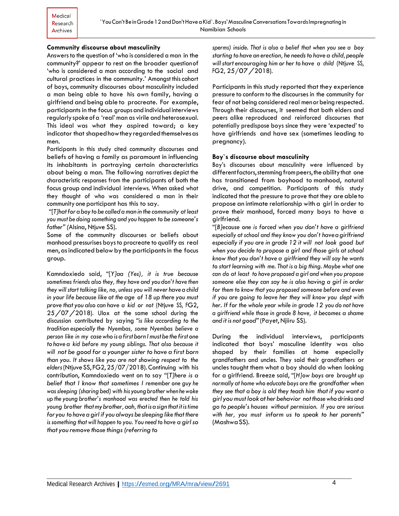## **Community discourse about masculinity**

Answers to the question of 'who isconsidered a man in the community?' appear to rest on the broader questionof 'who is considered a man according to the social and cultural practices in the community.' Amongst thiscohort of boys, community discourses about masculinity included a man being able to have his own family, having a girlfriend and being able to procreate. For example, participants in the focus groupsandindividual interviews regularlyspokeofa 'real' man as virile and heterosexual. This ideal was what they aspired toward; a key indicator that shaped how they regarded themselves as men.

Participants in this study cited community discourses and beliefs of having a family as paramount in influencing its inhabitants in portraying certain characteristics about being a man. The following narratives depict the characteristic responses from the participants of both the focus group and individual interviews. When asked what they thought of who was considered a man in their community one participant has this to say.

"[*T]hatfor a boy to be called aman in the community at least you must be doing something and you happen to be someone's father" (*Alsina, Ntjuve SS).

Some of the community discourses or beliefs about manhood pressurises boys to procreate to qualify as real men, as indicated below by the participants in the focus group.

Kamndoxiedo said, "[*Y]aa (Yes), it is true because sometimes friends also they, they have and you don't have then they will start talking like, no, unless you will never have a child in your life because like at the age of 18 up there you must prove that you also can have a kid or not* (Ntjuve SS, FG2, 25/07/2018)*.* Ulox at the same school during the discussion contributed by saying *"is like according to the tradition especially the Nyembas, some Nyembas believe a person like in my casewho is a first born Imust be the first one to have a kid before my young siblings. That also because it will not be good for a younger sister to have a first born than you. It shows like you are not showing respect to the elders*(Ntjuve SS, FG2, 25/07/2018)*.*Continuing with his contribution, Kamndoxiedo went on to say "[*T]here is a belief that I know that sometimes I remember one guy he was sleeping (sharing bed) with his youngbrotherwhen hewoke up the young brother's manhood was erected then he told his young brother thatmy brother, aah,thatisasign thatitistime foryou to have a girl if you always be sleeping like that there is something that will happen to you. You need to have a girlso that you remove those things (referring to*

*sperms) inside. That is also a belief that when you see a boy starting to have an erection, he needsto have a child,people will start encouraging him or her to have a child* (Ntjuve SS, FG2, 25/07/2018)*.*

Participants in this study reported that they experience pressure to conform to the discourses in the community for fear of not being considered real menor being respected. Through their discourses, it seemed that both elders and peers alike reproduced and reinforced discourses that potentially predispose boys since they were 'expected' to have girlfriends and have sex (sometimes leading to pregnancy).

#### **Boy`s discourse about masculinity**

Boy's discourses about masculinity were influenced by different factors, stemming from peers, the ability that one has transitioned from boyhood to manhood, natural drive, and competition. Participants of this study indicated that the pressure to prove that they are able to propose an intimate relationship with a girl in order to prove their manhood, forced many boys to have a girlfriend.

"[*B]ecause one is forced when you don't have a girlfriend especially at school and they know you don't haveagirlfriend especially if you are in grade 12 it will not look good but when you decide to propose a girl and those girls at school know that you don't have a girlfriend they will say he wants to start learning with me. That is a big thing. Maybe what one can do at least to have proposed a girl and when you propose someone else they can say he is also having a girl in order for them to know that you proposed someone before and even if you are going to leave her they will know you slept with her. If for the whole year while in grade 12 you do not have a girlfriend while those in grade 8 have, it becomes a shame and it is not good"*(Payet, Njiiru SS)*.*

During the individual interviews, participants indicated that boys' masculine identity was also shaped by their families at home especially grandfathers and uncles. They said their grandfathers or uncles taught them what a boy should do when looking for a girlfriend. Breeze said, "[*H]ow boys are brought up normally at home who educate boys are the grandfather when they see that a boy is old they teach him that if you want a girl youmust look at her behavior not thosewho drinks and go to people's houses without permission. If you are serious with her, you must inform us to speak to her parents"* (MashwaSS).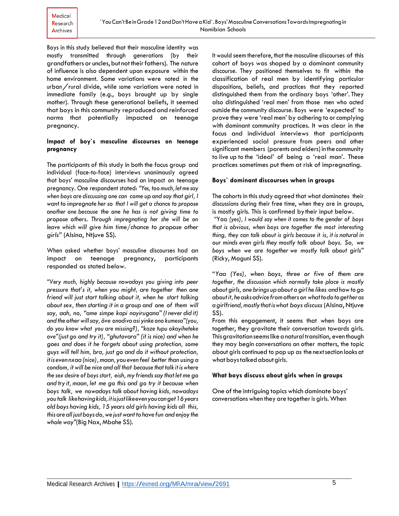Boys in this study believed that their masculine identity was mostly transmitted through generations (by their grandfathers or uncles, but not their fathers). The nature of influence is also dependent upon exposure within the home environment. Some variations were noted in the urban/rural divide, while some variations were noted in immediate family (e.g., boys brought up by single mother). Through these generational beliefs, it seemed that boys in this community reproduced and reinforced norms that potentially impacted on teenage pregnancy.

## **Impact of boy`s masculine discourses on teenage pregnancy**

The participants of this study in both the focus group and individual (face-to-face) interviews unanimously agreed that boys' masculine discourses had an impact on teenage pregnancy. One respondent stated: *"Yes, toomuch,letme say when boys are discussing one can come up and say that girl, I want to impregnate her so that I will get a chance to propose another one because the one he has is not giving time to propose others. Through impregnating her she will be on leave which will give him time/chance to propose other girls"* (Alsina, Ntjuve SS)*.*

When asked whether boys' masculine discourses had an impact on teenage pregnancy, participants responded as stated below.

*"Very much, highly because nowadays you giving into peer pressure that's it, when you might, are together then one friend will just start talking about it, when he start talking about sex, then starting it in a group and one of them will say, aah, no, "ame simpe kapi nayirugana"(I never did it) andthe otherwillsay, öve onodiva asi yinke ono kumesa"(you, do you know what you are missing?), "kaze tupu okayiheteke ove"(just go and try it), "ghutovara" (it is nice) and when he goes and does it he forgets about using protection, some guys will tell him, bra, just go and do it without protection, itis even nxaa(nice),maan, you even feel better than using a condom, it will be nice and all that because that talk it is where the sex desire of boys start, eish, my friendssay that let me go and try it, maan, let me go this and go try it because when boys talk, we nowadays talk about having kids, nowadays you talk likehavingkids,itisjustlikeevenyoucanget16years old boys having kids, 15 years old girls having kids all this, this are all just boys do,we justwant to have fun and enjoy the whole way"*(Big Nax, Mbahe SS).

It would seem therefore, that the masculine discourses of this cohort of boys was shaped by a dominant community discourse. They positioned themselves to fit within the classification of real men by identifying particular dispositions, beliefs, and practices that they reported distinguished them from the ordinary boys 'other'. They also distinguished 'real men' from those men who acted outside the community discourse. Boys were 'expected' to prove they were 'real men' by adhering to or complying with dominant community practices. It was clear in the focus and individual interviews that participants experienced social pressure from peers and other significant members (parentsand elders) in the community to live up to the 'ideal' of being a 'real man'. These practices sometimes put them at risk of impregnating.

## **Boys` dominant discourses when in groups**

The cohorts in this study agreed that what dominates their discussions during their free time, when they are in groups, is mostly girls. This is confirmed bytheir input below.

"Yaa *(yes), I would say when it comes to the gender of boys that is obvious, when boys are together the most interesting thing, they can talk about is girls because it is, it is natural in our minds even girls they mostly talk about boys. So, we boys when we are together we mostly talk about girls"* (Ricky, Maguni SS).

"*Yaa (Yes), when boys, three or five of them are together, the discussion which normally take place is mostly about girls, one brings up about a girl he likes andhowtogo aboutit, heasksadvice fromotherson whattodotoget heras agirlfriend,mostlythatiswhat boys discuss* (Alsina, Ntjuve SS).

From this engagement, it seems that when boys are together, they gravitate their conversation towards girls. This gravitation seems like a natural transition, even though they may begin conversations on other matters, the topic about girls continued to pop up as the nextsection looksat what boystalked about girls.

## **What boys discuss about girls when in groups**

One of the intriguing topics which dominate boys' conversationswhen they are together is girls.When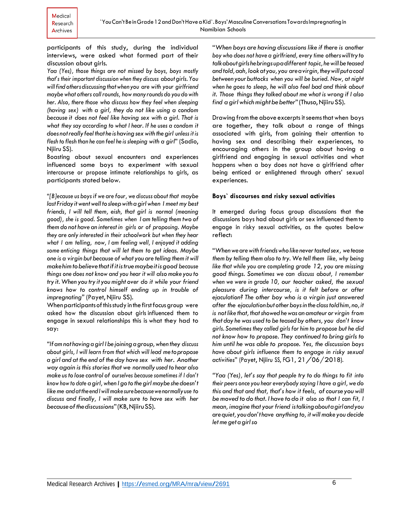participants of this study, during the individual interviews, were asked what formed part of their discussion about girls.

*Yaa (Yes), those things are not missed by boys, boys mostly that's their important discussion when they discuss aboutgirls.You willfind others discussingthatwhen you are with your girlfriend maybe what otherscallrounds, howmany rounds do you dowith her. Also, there those who discuss how they feel when sleeping (having sex) with a girl, they do not like using a condom because it does not feel like having sex with a girl. That is what they say according to what I hear. If he uses a condom it does notreally feelthat he is havingsexwith thegirl unless it is flesh to flesh than he can feel he is sleeping with a girl*" (Sadio, Njiiru SS).

Boasting about sexual encounters and experiences influenced some boys to experiment with sexual intercourse or propose intimate relationships to girls, as participants stated below.

"*[B]ecause us boys if we are four, we discuss about that maybe last Friday itwentwelltosleepwithagirlwhen I meet my best friends, I will tell them, eish, that girl is normal (meaning good), she is good. Sometimes when I am telling them two of them do not have an interest in girls or of proposing. Maybe they are only interested in their schoolwork but when they hear what I am telling, now, I am feeling well, I enjoyed it adding some enticing things that will let them to get ideas. Maybe one is a virgin but because of what you are telling them it will makehimtobelievethatifitistruemaybeitisgood because things one does not know and you hear it will alsomake you to try it.When you try it youmight over do it while your friend knows how to control himself ending up in trouble of impregnating"* (Payet, Njiiru SS).

When participants of this study in the first focus group were asked how the discussion about girls influenced them to engage in sexual relationships this is what they had to say:

*"Ifamnot havingagirlIbe joiningagroup,when they discuss about girls, I will learn from that which will lead metopropose a girl and at the end of the day have sex with her. Another way again is this stories that we normally used to hear also make usto lose control of ourselves because sometimes if I don't know how to date agirl,when Igotothegirlmaybe she doesn't likeme andattheendIwillmakesurebecausewenormallyuse to discuss and finally, I will make sure to have sex with her becauseofthediscussions*"(KB,NjiiruSS).

"*When boys are having discussions like if there is another boy who does not have a girlfriend, every time otherswilltryto talkaboutgirlshebringsupadifferent topic, hewillbe teased andtold,aah,lookat you, you areavirgin,theywillputacoal between your buttocks when you will be buried. Now, at night when he goes to sleep, he will also feel bad and think about it. Those things they talked about me what is wrong if I also find agirlwhichmight be better*"(Thuso,Njiiru SS).

Drawing from the above excerpts it seems that when boys are together, they talk about a range of things associated with girls, from gaining their attention to having sex and describing their experiences, to encouraging others in the group about having a girlfriend and engaging in sexual activities and what happens when a boy does not have a girlfriend after being enticed or enlightened through others' sexual experiences.

#### **Boys` discourses and risky sexual activities**

It emerged during focus group discussions that the discussions boys had about girls or sex influenced themto engage in risky sexual activities, as the quotes below reflect:

"*Whenwearewith friendswholike nevertastedsex, wetease them by telling them also to try. We tell them like, why being like that while you are completing grade 12, you are missing good things. Sometimes we can discuss about, I remember when we were in grade 10, our teacher asked, the sexual pleasure during intercourse, is it felt before or after ejaculation? The other boy who is a virgin just answered after the ejaculationbutotherboysinthe classtoldhim, no,it is not like that, thatshowed hewas an amateur or virgin from that day he was used to be teased by others, you don't know girls. Sometimes they called girls for him to propose but he did not know how to propose. They continued to bring girls to him until he was able to propose. Yes, the discussion boys have about girls influence them to engage in risky sexual activities*" (Payet, Njiiru SS, FG1, 21/06/2018).

*"Yaa (Yes), let's say that people try to do things to fit into their peers once you hear everybody saying I have a girl,we do this and that and that, that's how it feels, ofcourse youwill bemoved to do that. I have to do it also so that I can fit, I mean, imagine that your friend istalkingaboutagirlandyou arequiet, you don't have anything to, it willmake you decide letme get agirlso*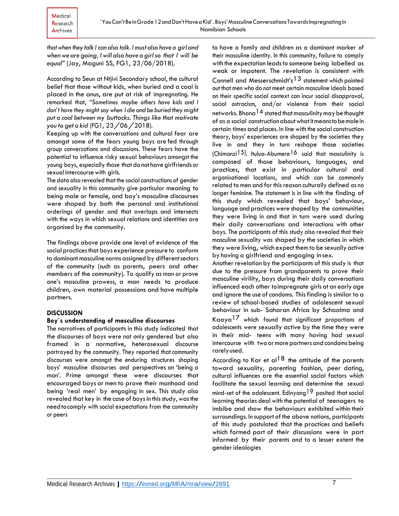*that when they talk Ican also talk. I must also have a girland when we are going, I will also have a girlso that I will be equal"* (Jay, Maguni SS, FG1, 23/06/2018).

According to Seun at Ntjivi Secondary school, the cultural belief that those without kids, when buried and a coal is placed in the anus, are put at risk of impregnating. He remarked that, "*Sometimes maybe others have kids and I don't have they might say when I die and be buried theymight put a coal between my buttocks. Things like that motivate you to get <sup>a</sup> kid* (FG1, 23/06/2018).

Keeping up with the conversations and cultural fear are amongst some of the fears young boys are fed through group conversations and discussions. These fears have the potential to influence risky sexual behaviours amongst the young boys, especially those that do not have girlfriends or sexual intercourse with girls.

The data also revealed that the social constructions of gender and sexuality in this community give particular meaning to being male or female, and boy's masculine discourses were shaped by both the personal and institutional orderings of gender and that overlaps and intersects with the ways in which sexual relations and identities are organised by the community.

The findings above provide one level of evidence of the social practices that boys experience pressure to conform to dominant masculine norms assigned by different sectors of the community (such as parents, peers and other members of the community). To qualify as man or prove one's masculine prowess, a man needs to produce children, own material possessions and have multiple partners.

## **DISCUSSION**

## **Boy`s understanding of masculine discourses**

The narratives of participants in this study indicated that the discourses of boys were not only gendered but also framed in a normative, heterosexual discourse portrayed by the community. They reported thatcommunity discourses were amongst the enduring structures shaping boys' masculine discourses and perspectives on 'being a man'. Prime amongst these were discourses that encouraged boys or men to prove their manhood and being 'real men' by engaging in sex. This study also revealed that key in the case of boys in this study, was the needtocomply with social expectations from the community or peers

to have a family and children as a dominant marker of their masculine identity. In this community, failure to comply with the expectation leads to someone being labelled as weak or impotent. The revelation is consistent with Connell and Messerschmidt's13 statement which pointed out that men who do not meet certain masculine ideals based on their specific social context can incur social disapproval, social ostracism, and/or violence from their social networks. Bhana  $14$  stated that masculinity may be thought of as a social constructionaboutwhatitmeanstobemalein certain times and places. In line with the social construction theory, boys' experiences are shaped by the societies they live in and they in turn reshape those societies (Chimanzi<sup>15</sup>). Itulua-Abumere<sup>16</sup> said that masculinity is composed of those behaviours, languages, and practices, that exist in particular cultural and organisational locations, and which can be commonly related to men and for this reason culturally defined as no longer feminine. The statement is in line with the finding of this study which revealed that boys' behaviour, language and practiceswere shaped by the communities they were living in and that in turn were used during their daily conversations and interactions with other boys. The participants of this study also revealed that their masculine sexuality was shaped by the societies in which they were living, which expect them to be sexually active by having a girlfriend and engaging in sex.

Another revelation by the participants of this study is that due to the pressure from grandparents to prove their masculine virility, boys during their daily conversations influenced each other toimpregnate girls at an early age and ignore the use of condoms. This finding is similar to a review of school-based studies of adolescent sexual behaviour in sub- Saharan Africa by Schaalma and Kaaya17 which found that significant proportions of adolescents were sexually active by the time they were in their mid- teens with many having had sexual intercourse with two ormore partners and condoms being rarelyused.

According to Kar et al<sup>18</sup> the attitude of the parents toward sexuality, parenting fashion, peer dating, cultural influences are the essential social factors which facilitate the sexual learning and determine the sexual mind-set of the adolescent. Edinyang<sup>19</sup> posited that social learning theories deal with the potential of teenagers to imbibe and show the behaviours exhibited within their surroundings. In support of the above notions, participants of this study postulated that the practices and beliefs which formed part of their discussions were in part informed by their parents and to a lesser extent the genderideologies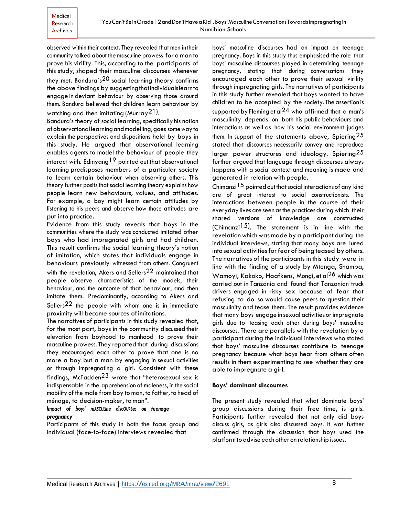observed within their context. They revealed that men in their community talked about the masculine prowess for aman to prove his virility. This, according to the participants of this study, shaped their masculine discourses whenever they met. Bandura's<sup>20</sup> social learning theory confirms the above findings by suggesting that individuals learn to engage in deviant behaviour by observing those around them. Bandura believed that children learn behaviour by watching and then imitating (Murray $\mathsf{^{21}}$ ).

Bandura's theory of social learning, specifically his notion ofobservationallearningandmodelling,goes someway to explain the perspectives and dispositions held by boys in this study. He argued that observational learning enables agents to model the behaviour of people they interact with. Edinyang<sup>19</sup> pointed out that observational learning predisposes members of a particular society to learn certain behaviour when observing others. This theory further posits that social learning theory explains how people learn new behaviours, values, and attitudes. For example, a boy might learn certain attitudes by listening to his peers and observe how those attitudes are put into practice.

Evidence from this study reveals that boys in the communities where the study was conducted imitated other boys who had impregnated girls and had children. This result confirms the social learning theory's notion of imitation, which states that individuals engage in behaviours previously witnessed from others. Congruent with the revelation, Akers and Sellers<sup>22</sup> maintained that people observe characteristics of the models, their behaviour, and the outcome of that behaviour, and then imitate them. Predominantly, according to Akers and Sellers<sup>22</sup> the people with whom one is in immediate proximity will become sources ofimitations.

The narratives of participants in this study revealed that, for the most part, boys in the community discussed their elevation from boyhood to manhood to prove their masculine prowess. They reported that during discussions they encouraged each other to prove that one is no more a boy but a man by engaging in sexual activities or through impregnating a girl. Consistent with these findings, McFadden23 wrote that "heterosexual sex is indispensable in the apprehension of maleness, in the social mobility of the male from boy to man, to father, to head of ménage, to decision-maker, toman".

## *Impact of boys' mASCULIne discOURSes on teenage pregnancy*

Participants of this study in both the focus group and individual (face-to-face) interviews revealed that

boys' masculine discourses had an impact on teenage pregnancy. Boys in this study thus emphasised the role that boys' masculine discourses played in determining teenage pregnancy, stating that during conversations they encouraged each other to prove their sexual virility through impregnating girls. The narratives of participants in this study further revealed that boys wanted to have children to be accepted by the society. The assertion is supported by Fleming et al<sup>24</sup> who affirmed that a man's masculinity depends on both his public behaviours and interactions as well as how his social environment judges them. In support of the statements above, Spiering<sup>25</sup> stated that discourses necessarily convey and reproduce larger power structures and ideology. Spiering<sup>25</sup> further argued that language through discourses always happens with a social context and meaning is made and generated in relation with people.

Chimanzi<sup>15</sup> pointed out that social interactions of any kind are of great interest to social constructionists. The interactions between people in the course of their everyday lives are seen as the practices during which their shared versions of knowledge are constructed (Chimanzi<sup>15</sup>). The statement is in line with the revelationwhich was made by a participant during the individual interviews, stating that many boys are lured into sexual activities for fear of being teased by others. The narratives of the participants in this study were in line with the finding of a study by Mtenga, Shamba, Wamoyi, Kakoko, Haafkens, Mongi, et al26 which was carried out in Tanzania and found that Tanzanian truck drivers engaged in risky sex because of fear that refusing to do so would cause peers to question their masculinity and tease them. The result provides evidence that many boys engage in sexual activities orimpregnate girls due to teasing each other during boys' masculine discourses. There are parallels with the revelation by a participant during the individual interviews who stated that boys' masculine discourses contribute to teenage pregnancy because what boys hear from others often results in them experimenting to see whether they are able to impregnate a girl.

## **Boys' dominant discourses**

The present study revealed that what dominate boys' group discussions during their free time, is girls. Participants further revealed that not only did boys discuss girls, as girls also discussed boys. It was further confirmed through the discussion that boys used the platformto advise each other on relationship issues.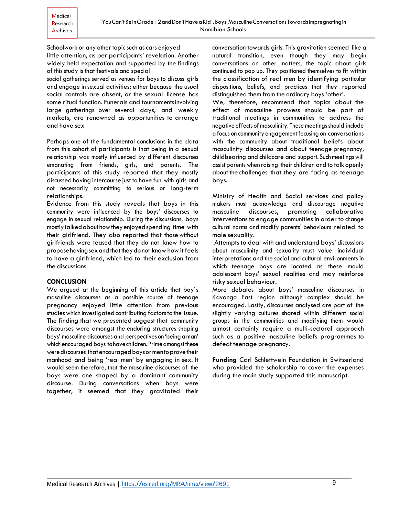Schoolwork or any other topic such as cars enjoyed little attention, as per participants' revelation. Another widely held expectation and supported by the findings of this study is that festivals and special

social gatherings served as venues for boys to discuss girls and engage in sexual activities; either because the usual social controls are absent, or the sexual license has some ritual function. Funerals and tournamentsinvolving large gatherings over several days, and weekly markets, are renowned as opportunities to arrange and have sex

Perhaps one of the fundamental conclusions in the data from this cohort of participants is that being in a sexual relationship was mostly influenced by different discourses emanating from friends, girls, and parents. The participants of this study reported that they mostly discussed having intercourse just to have fun with girls and not necessarily committing to serious or long-term relationships.

Evidence from this study reveals that boys in this community were influenced by the boys' discourses to engage in sexual relationship. During the discussions, boys mostly talked about how they enjoyed spending time with their girlfriend. They also reported that those without girlfriends were teased that they do not know how to propose having sex and that they do not know how it feels to have a girlfriend, which led to their exclusion from the discussions.

## **CONCLUSION**

We argued at the beginning of this article that boy`s masculine discourses as a possible source of teenage pregnancy enjoyed little attention from previous studies which investigated contributing factors to the issue. The finding that we presented suggest that community discourses were amongst the enduring structures shaping boys' masculine discourses and perspectives on 'being aman' which encouraged boys to have children. Prime amongst these were discourses that encouraged boys or mento prove their manhood and being 'real men' by engaging in sex. It would seem therefore, that the masculine discourses of the boys were one shaped by a dominant community discourse. During conversations when boys were together, it seemed that they gravitated their

conversation towards girls. This gravitation seemed like a natural transition, even though they may begin conversations on other matters, the topic about girls continued to pop up. They positioned themselves to fit within the classification of real men by identifying particular dispositions, beliefs, and practices that they reported distinguished them from the ordinary boys 'other'.

We, therefore, recommend that topics about the effect of masculine prowess should be part of traditional meetings in communities to address the negative effects of masculinity. These meetings should include a focus on community engagement focusing on conversations with the community about traditional beliefs about masculinity discourses and about teenage pregnancy, childbearing and childcare and support. Such meetings will assist parents when raising their children and to talk openly about the challenges that they are facing as teenage boys.

Ministry of Health and Social services and policy makers must acknowledge and discourage negative masculine discourses, promoting collaborative interventions to engage communities in order to change cultural norms and modify parents' behaviours related to male sexuality.

Attempts to deal with and understand boys' discussions about masculinity and sexuality must value individual interpretations and the social and cultural environments in which teenage boys are located as these mould adolescent boys' sexual realities and may reinforce risky sexual behaviour.

More debates about boys' masculine discourses in Kavango East region although complex should be encouraged. Lastly, discourses analysed are part of the slightly varying cultures shared within different social groups in the communities and modifying them would almost certainly require a multi-sectoral approach such as a positive masculine beliefs programmes to defeat teenage pregnancy.

**Funding** Carl Schlettwein Foundation in Switzerland who provided the scholarship to cover the expenses during the main study supported this manuscript.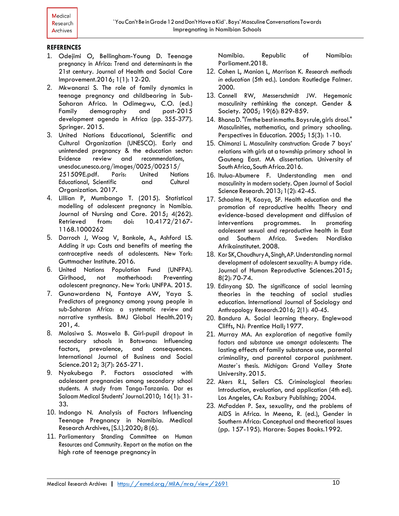## **REFERENCES**

- 1. Odejimi O, Bellingham-Young D. Teenage pregnancy in Africa: Trend and determinants in the 21st century. Journal of Health and Social Care Improvement.2016; 1(1): 12-20.
- 2. Mkwananzi S. The role of family dynamics in teenage pregnancy and childbearing in Sub-Saharan Africa. In Odimegwu, C.O. (ed.) Family demography and post-2015 development agenda in Africa (pp. 355-377). Springer. 2015.
- 3. United Nations Educational, Scientific and Cultural Organization (UNESCO). Early and unintended pregnancy & the education sector: Evidence review and recommendations, unesdoc.unesco.org/images/0025/002515/ 251509E.pdf. Paris: United Nations Educational, Scientific and Cultural Organization. 2017.
- 4. Lillian P, Mumbango T. (2015). Statistical modelling of adolescent pregnancy in Namibia. Journal of Nursing and Care. 2015; 4(262). Retrieved from: doi: 10.4172/2167- 1168.1000262
- 5. Darroch J, Woog V, Bankole, A., Ashford LS. Adding it up: Costs and benefits of meeting the contraceptive needs of adolescents. New York: Guttmacher Institute. 2016.
- 6. United Nations Population Fund (UNFPA). Girlhood, not motherhood: Preventing adolescent pregnancy. New York: UNFPA. 2015.
- 7. Gunawardena N, Fantaye AW, Yaya S. Predictors of pregnancy among young people in sub-Saharan Africa: a systematic review and narrative synthesis. BMJ Global Health.2019; 201, 4.
- 8. Molosiwa S. Moswela B. Girl-pupil dropout in secondary schools in Botswana: Influencing factors, prevalence, and consequences. International Journal of Business and Social Science.2012; 3(7): 265-271.
- 9. Nyakubega P. Factors associated with adolescent pregnancies among secondary school students. A study from Tanga-Tanzania. Dar es Salaam Medical Students' Journal.2010; 16(1): 31- 33.
- 10. Indongo N. Analysis of Factors Influencing Teenage Pregnancy in Namibia. Medical Research Archives, [S.l.].2020; 8 (6).
- 11. Parliamentary Standing Committee on Human Resources and Community. Report on the motion on the high rate of teenage pregnancy in

Namibia. Republic of Namibia: Parliament.2018.

- 12. Cohen L, Manion L, Morrison K. *Research methods in education* (5th ed.). London: Routledge Falmer. 2000.
- 13. Connell RW, Messerschmidt JW. Hegemonic masculinity rethinking the concept. Gender & Society. 2005; 19(6): 829-859.
- 14. BhanaD."I'mthebestinmaths.Boysrule,girls drool." Masculinities, mathematics, and primary schooling. Perspectives in Education. 2005; 15(3): 1-10.
- 15. Chimanzi L. Masculinity construction: Grade 7 boys' relations with girls at a township primary school in Gauteng East. MA dissertation. University of South Africa, South Africa.2016.
- 16. Itulua-Abumere F. Understanding men and masculinity in modern society. Open Journal of Social Science Research. 2013; 1(2): 42-45.
- 17. Schaalma H, Kaaya, SF. Health education and the promotion of reproductive health: Theory and evidence-based development and diffusion of interventions programmes. In promoting adolescent sexual and reproductive health in East and Southern Africa. Sweden: Nordiska Afrikainstitutet. 2008.
- 18. [KarS](https://www.ncbi.nlm.nih.gov/pubmed/?term=Kar%20SK%5BAuthor%5D&cauthor=true&cauthor_uid=26157296)K[,ChoudhuryA](https://www.ncbi.nlm.nih.gov/pubmed/?term=Choudhury%20A%5BAuthor%5D&cauthor=true&cauthor_uid=26157296)[,Singh,A](https://www.ncbi.nlm.nih.gov/pubmed/?term=Singh%20AP%5BAuthor%5D&cauthor=true&cauthor_uid=26157296)P.Understanding normal development of adolescent sexuality: A bumpy ride. Journal of Human Reproductive Sciences.2015; 8(2): 70-74.
- 19. Edinyang SD. The significance of social learning theories in the teaching of social studies education. International Journal of Sociology and Anthropology Research.2016; 2(1): 40-45.
- 20. Bandura A. Social learning theory. Englewood Cliffs, NJ: Prentice Hall;1977.
- 21. Murray MA. An exploration of negative family factors and substance use amongst adolescents: The lasting effects of family substance use, parental criminality, and parental corporal punishment. Master`s thesis. Michigan: Grand Valley State University.2015.
- 22. Akers R.L, Sellers CS. Criminological theories: Introduction, evaluation, and application (4th ed). Los Angeles, CA: Roxbury Publishing; 2004.
- 23. McFadden P. Sex, sexuality, and the problems of AIDS in Africa. In Meena, R. (ed.), Gender in Southern Africa: Conceptual and theoretical issues (pp. 157-195). Harare: Sapes Books.1992.